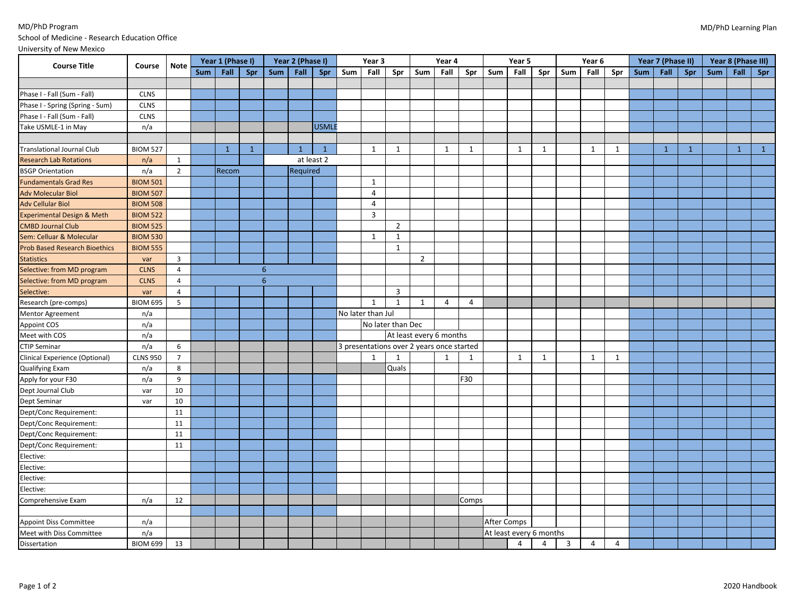## MD/PhD Program School of Medicine - Research Education Office

|                                         |                 |                | Year 1 (Phase I) |              |              | Year 2 (Phase I) |              |              | Year 3 |                   | Year 4            |                                           | Year 5 |              |             | Year 6                  |                |                | Year 7 (Phase II) |     |     | Year 8 (Phase III) |              |            |              |              |
|-----------------------------------------|-----------------|----------------|------------------|--------------|--------------|------------------|--------------|--------------|--------|-------------------|-------------------|-------------------------------------------|--------|--------------|-------------|-------------------------|----------------|----------------|-------------------|-----|-----|--------------------|--------------|------------|--------------|--------------|
| <b>Course Title</b>                     | Course          | Note           | Sum              | Fall         | Spr          | Sum              | Fall         | <b>Spr</b>   | Sum    | Fall              | Spr               | Sum                                       | Fall   | Spr          | Sum         | <b>Fall</b>             | Spr            | Sum            | Fall              | Spr | Sum | Fall               | Spr          | <b>Sum</b> |              | Fall Spr     |
|                                         |                 |                |                  |              |              |                  |              |              |        |                   |                   |                                           |        |              |             |                         |                |                |                   |     |     |                    |              |            |              |              |
| Phase I - Fall (Sum - Fall)             | <b>CLNS</b>     |                |                  |              |              |                  |              |              |        |                   |                   |                                           |        |              |             |                         |                |                |                   |     |     |                    |              |            |              |              |
| Phase I - Spring (Spring - Sum)         | <b>CLNS</b>     |                |                  |              |              |                  |              |              |        |                   |                   |                                           |        |              |             |                         |                |                |                   |     |     |                    |              |            |              |              |
| Phase I - Fall (Sum - Fall)             | <b>CLNS</b>     |                |                  |              |              |                  |              |              |        |                   |                   |                                           |        |              |             |                         |                |                |                   |     |     |                    |              |            |              |              |
| Take USMLE-1 in May                     | n/a             |                |                  |              |              |                  |              | <b>USMLE</b> |        |                   |                   |                                           |        |              |             |                         |                |                |                   |     |     |                    |              |            |              |              |
|                                         |                 |                |                  |              |              |                  |              |              |        |                   |                   |                                           |        |              |             |                         |                |                |                   |     |     |                    |              |            |              |              |
| <b>Translational Journal Club</b>       | <b>BIOM 527</b> |                |                  | $\mathbf{1}$ | $\mathbf{1}$ |                  | $\mathbf{1}$ | $\mathbf{1}$ |        | 1                 | 1                 |                                           | 1      | 1            |             | 1                       | 1              |                | 1                 | 1   |     | $\mathbf{1}$       | $\mathbf{1}$ |            | $\mathbf{1}$ | $\mathbf{1}$ |
| <b>Research Lab Rotations</b>           | n/a             | $\mathbf{1}$   |                  |              |              |                  |              | at least 2   |        |                   |                   |                                           |        |              |             |                         |                |                |                   |     |     |                    |              |            |              |              |
| <b>BSGP Orientation</b>                 | n/a             | $\overline{2}$ |                  | Recom        |              |                  | Required     |              |        |                   |                   |                                           |        |              |             |                         |                |                |                   |     |     |                    |              |            |              |              |
| <b>Fundamentals Grad Res</b>            | <b>BIOM 501</b> |                |                  |              |              |                  |              |              |        | $\mathbf{1}$      |                   |                                           |        |              |             |                         |                |                |                   |     |     |                    |              |            |              |              |
| <b>Adv Molecular Biol</b>               | <b>BIOM 507</b> |                |                  |              |              |                  |              |              |        | $\overline{4}$    |                   |                                           |        |              |             |                         |                |                |                   |     |     |                    |              |            |              |              |
| <b>Adv Cellular Biol</b>                | <b>BIOM 508</b> |                |                  |              |              |                  |              |              |        | $\overline{4}$    |                   |                                           |        |              |             |                         |                |                |                   |     |     |                    |              |            |              |              |
| Experimental Design & Meth              | <b>BIOM 522</b> |                |                  |              |              |                  |              |              |        | $\mathbf{3}$      |                   |                                           |        |              |             |                         |                |                |                   |     |     |                    |              |            |              |              |
| <b>CMBD Journal Club</b>                | <b>BIOM 525</b> |                |                  |              |              |                  |              |              |        |                   | $\overline{2}$    |                                           |        |              |             |                         |                |                |                   |     |     |                    |              |            |              |              |
| Sem: Celluar & Molecular                | <b>BIOM 530</b> |                |                  |              |              |                  |              |              |        | $\mathbf{1}$      | 1                 |                                           |        |              |             |                         |                |                |                   |     |     |                    |              |            |              |              |
| <b>Prob Based Research Bioethics</b>    | <b>BIOM 555</b> |                |                  |              |              |                  |              |              |        |                   | $\mathbf{1}$      |                                           |        |              |             |                         |                |                |                   |     |     |                    |              |            |              |              |
| <b>Statistics</b>                       | var             | 3              |                  |              |              |                  |              |              |        |                   |                   | $\overline{2}$                            |        |              |             |                         |                |                |                   |     |     |                    |              |            |              |              |
| Selective: from MD program              | <b>CLNS</b>     | $\overline{4}$ |                  |              |              | 6                |              |              |        |                   |                   |                                           |        |              |             |                         |                |                |                   |     |     |                    |              |            |              |              |
| Selective: from MD program              | <b>CLNS</b>     | $\overline{4}$ |                  |              |              | 6                |              |              |        |                   |                   |                                           |        |              |             |                         |                |                |                   |     |     |                    |              |            |              |              |
| Selective:                              | var             | $\overline{4}$ |                  |              |              |                  |              |              |        |                   | 3                 |                                           |        |              |             |                         |                |                |                   |     |     |                    |              |            |              |              |
| Research (pre-comps)                    | <b>BIOM 695</b> | 5              |                  |              |              |                  |              |              |        | $\mathbf{1}$      | $\mathbf{1}$      | $\mathbf{1}$                              | 4      | 4            |             |                         |                |                |                   |     |     |                    |              |            |              |              |
| Mentor Agreement                        | n/a             |                |                  |              |              |                  |              |              |        | No later than Jul |                   |                                           |        |              |             |                         |                |                |                   |     |     |                    |              |            |              |              |
| Appoint COS                             | n/a             |                |                  |              |              |                  |              |              |        |                   | No later than Dec |                                           |        |              |             |                         |                |                |                   |     |     |                    |              |            |              |              |
| Meet with COS                           | n/a             |                |                  |              |              |                  |              |              |        |                   |                   | At least every 6 months                   |        |              |             |                         |                |                |                   |     |     |                    |              |            |              |              |
| <b>CTIP Seminar</b>                     | n/a             | 6              |                  |              |              |                  |              |              |        |                   |                   | 3 presentations over 2 years once started |        |              |             |                         |                |                |                   |     |     |                    |              |            |              |              |
| Clinical Experience (Optional)          | <b>CLNS 950</b> | $\overline{7}$ |                  |              |              |                  |              |              |        | $\mathbf{1}$      | 1                 |                                           | 1      | $\mathbf{1}$ |             | 1                       | 1              |                | 1                 | 1   |     |                    |              |            |              |              |
| <b>Qualifying Exam</b>                  | n/a             | 8              |                  |              |              |                  |              |              |        |                   | Quals             |                                           |        |              |             |                         |                |                |                   |     |     |                    |              |            |              |              |
|                                         | n/a             | 9              |                  |              |              |                  |              |              |        |                   |                   |                                           |        | F30          |             |                         |                |                |                   |     |     |                    |              |            |              |              |
| Apply for your F30<br>Dept Journal Club | var             | 10             |                  |              |              |                  |              |              |        |                   |                   |                                           |        |              |             |                         |                |                |                   |     |     |                    |              |            |              |              |
| Dept Seminar                            | var             | 10             |                  |              |              |                  |              |              |        |                   |                   |                                           |        |              |             |                         |                |                |                   |     |     |                    |              |            |              |              |
| Dept/Conc Requirement:                  |                 | 11             |                  |              |              |                  |              |              |        |                   |                   |                                           |        |              |             |                         |                |                |                   |     |     |                    |              |            |              |              |
| Dept/Conc Requirement:                  |                 | 11             |                  |              |              |                  |              |              |        |                   |                   |                                           |        |              |             |                         |                |                |                   |     |     |                    |              |            |              |              |
| Dept/Conc Requirement:                  |                 | 11             |                  |              |              |                  |              |              |        |                   |                   |                                           |        |              |             |                         |                |                |                   |     |     |                    |              |            |              |              |
| Dept/Conc Requirement:                  |                 | 11             |                  |              |              |                  |              |              |        |                   |                   |                                           |        |              |             |                         |                |                |                   |     |     |                    |              |            |              |              |
| Elective:                               |                 |                |                  |              |              |                  |              |              |        |                   |                   |                                           |        |              |             |                         |                |                |                   |     |     |                    |              |            |              |              |
| Elective:                               |                 |                |                  |              |              |                  |              |              |        |                   |                   |                                           |        |              |             |                         |                |                |                   |     |     |                    |              |            |              |              |
| Elective:                               |                 |                |                  |              |              |                  |              |              |        |                   |                   |                                           |        |              |             |                         |                |                |                   |     |     |                    |              |            |              |              |
| Elective:                               |                 |                |                  |              |              |                  |              |              |        |                   |                   |                                           |        |              |             |                         |                |                |                   |     |     |                    |              |            |              |              |
| Comprehensive Exam                      | n/a             | 12             |                  |              |              |                  |              |              |        |                   |                   |                                           |        | Comps        |             |                         |                |                |                   |     |     |                    |              |            |              |              |
|                                         |                 |                |                  |              |              |                  |              |              |        |                   |                   |                                           |        |              |             |                         |                |                |                   |     |     |                    |              |            |              |              |
| Appoint Diss Committee                  | n/a             |                |                  |              |              |                  |              |              |        |                   |                   |                                           |        |              | After Comps |                         |                |                |                   |     |     |                    |              |            |              |              |
| Meet with Diss Committee                | n/a             |                |                  |              |              |                  |              |              |        |                   |                   |                                           |        |              |             | At least every 6 months |                |                |                   |     |     |                    |              |            |              |              |
| Dissertation                            | <b>BIOM 699</b> | 13             |                  |              |              |                  |              |              |        |                   |                   |                                           |        |              |             | $\overline{4}$          | $\overline{4}$ | $\overline{3}$ | $\overline{4}$    | 4   |     |                    |              |            |              |              |
|                                         |                 |                |                  |              |              |                  |              |              |        |                   |                   |                                           |        |              |             |                         |                |                |                   |     |     |                    |              |            |              |              |